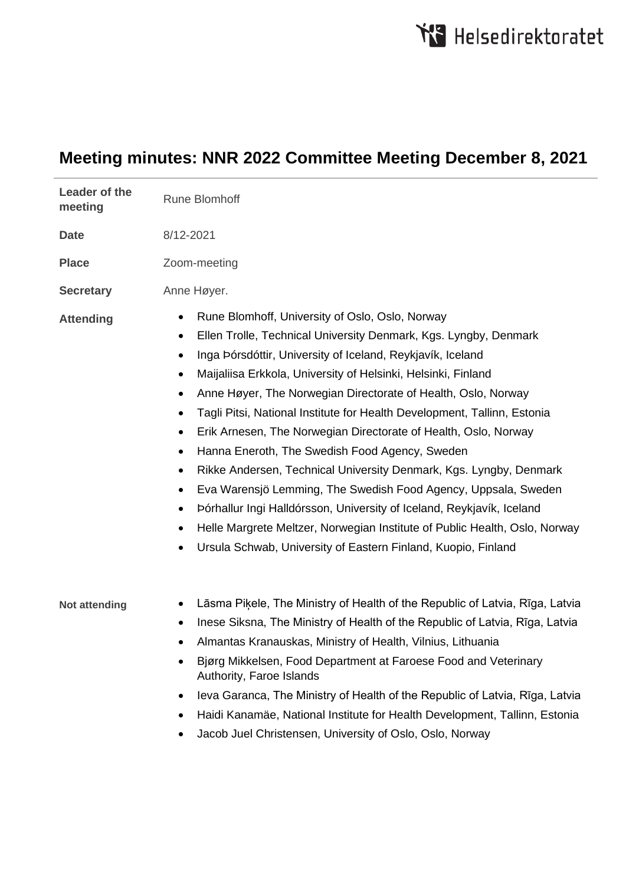## **Meeting minutes: NNR 2022 Committee Meeting December 8, 2021**

| Leader of the<br>meeting | <b>Rune Blomhoff</b>                                                                                                                                                                                                                                                                                                                                                                                                                                                                                                                                                                                                                                                                                                                                                                                                                                                                                                                                        |
|--------------------------|-------------------------------------------------------------------------------------------------------------------------------------------------------------------------------------------------------------------------------------------------------------------------------------------------------------------------------------------------------------------------------------------------------------------------------------------------------------------------------------------------------------------------------------------------------------------------------------------------------------------------------------------------------------------------------------------------------------------------------------------------------------------------------------------------------------------------------------------------------------------------------------------------------------------------------------------------------------|
| <b>Date</b>              | 8/12-2021                                                                                                                                                                                                                                                                                                                                                                                                                                                                                                                                                                                                                                                                                                                                                                                                                                                                                                                                                   |
| <b>Place</b>             | Zoom-meeting                                                                                                                                                                                                                                                                                                                                                                                                                                                                                                                                                                                                                                                                                                                                                                                                                                                                                                                                                |
| <b>Secretary</b>         | Anne Høyer.                                                                                                                                                                                                                                                                                                                                                                                                                                                                                                                                                                                                                                                                                                                                                                                                                                                                                                                                                 |
| <b>Attending</b>         | Rune Blomhoff, University of Oslo, Oslo, Norway<br>$\bullet$<br>Ellen Trolle, Technical University Denmark, Kgs. Lyngby, Denmark<br>٠<br>Inga Þórsdóttir, University of Iceland, Reykjavík, Iceland<br>٠<br>Maijaliisa Erkkola, University of Helsinki, Helsinki, Finland<br>$\bullet$<br>Anne Høyer, The Norwegian Directorate of Health, Oslo, Norway<br>٠<br>Tagli Pitsi, National Institute for Health Development, Tallinn, Estonia<br>٠<br>Erik Arnesen, The Norwegian Directorate of Health, Oslo, Norway<br>٠<br>Hanna Eneroth, The Swedish Food Agency, Sweden<br>٠<br>Rikke Andersen, Technical University Denmark, Kgs. Lyngby, Denmark<br>٠<br>Eva Warensjö Lemming, The Swedish Food Agency, Uppsala, Sweden<br>٠<br>Þórhallur Ingi Halldórsson, University of Iceland, Reykjavík, Iceland<br>٠<br>Helle Margrete Meltzer, Norwegian Institute of Public Health, Oslo, Norway<br>Ursula Schwab, University of Eastern Finland, Kuopio, Finland |
| <b>Not attending</b>     | Lāsma Piķele, The Ministry of Health of the Republic of Latvia, Rīga, Latvia<br>٠<br>Inese Siksna, The Ministry of Health of the Republic of Latvia, Rīga, Latvia<br>٠<br>Almantas Kranauskas, Ministry of Health, Vilnius, Lithuania<br>٠<br>Bjørg Mikkelsen, Food Department at Faroese Food and Veterinary<br>Authority, Faroe Islands<br>Ieva Garanca, The Ministry of Health of the Republic of Latvia, Rīga, Latvia<br>٠<br>Haidi Kanamäe, National Institute for Health Development, Tallinn, Estonia<br>٠<br>Jacob Juel Christensen, University of Oslo, Oslo, Norway                                                                                                                                                                                                                                                                                                                                                                               |